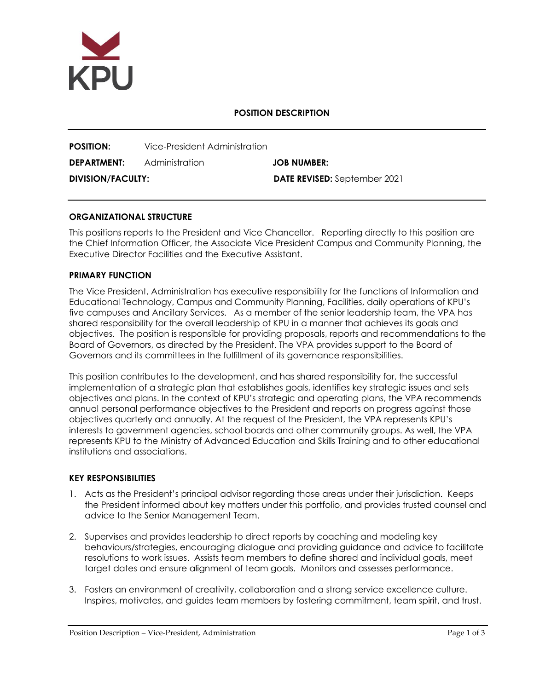

## **POSITION DESCRIPTION**

| <b>POSITION:</b>         | Vice-President Administration |                                     |
|--------------------------|-------------------------------|-------------------------------------|
| DEPARTMENT:              | Administration                | <b>JOB NUMBER:</b>                  |
| <b>DIVISION/FACULTY:</b> |                               | <b>DATE REVISED:</b> September 2021 |

### **ORGANIZATIONAL STRUCTURE**

This positions reports to the President and Vice Chancellor. Reporting directly to this position are the Chief Information Officer, the Associate Vice President Campus and Community Planning, the Executive Director Facilities and the Executive Assistant.

## **PRIMARY FUNCTION**

The Vice President, Administration has executive responsibility for the functions of Information and Educational Technology, Campus and Community Planning, Facilities, daily operations of KPU's five campuses and Ancillary Services. As a member of the senior leadership team, the VPA has shared responsibility for the overall leadership of KPU in a manner that achieves its goals and objectives.The position is responsible for providing proposals, reports and recommendations to the Board of Governors, as directed by the President. The VPA provides support to the Board of Governors and its committees in the fulfillment of its governance responsibilities.

This position contributes to the development, and has shared responsibility for, the successful implementation of a strategic plan that establishes goals, identifies key strategic issues and sets objectives and plans. In the context of KPU's strategic and operating plans, the VPA recommends annual personal performance objectives to the President and reports on progress against those objectives quarterly and annually. At the request of the President, the VPA represents KPU's interests to government agencies, school boards and other community groups. As well, the VPA represents KPU to the Ministry of Advanced Education and Skills Training and to other educational institutions and associations.

#### **KEY RESPONSIBILITIES**

- 1. Acts as the President's principal advisor regarding those areas under their jurisdiction. Keeps the President informed about key matters under this portfolio, and provides trusted counsel and advice to the Senior Management Team.
- 2. Supervises and provides leadership to direct reports by coaching and modeling key behaviours/strategies, encouraging dialogue and providing guidance and advice to facilitate resolutions to work issues. Assists team members to define shared and individual goals, meet target dates and ensure alignment of team goals. Monitors and assesses performance.
- 3. Fosters an environment of creativity, collaboration and a strong service excellence culture. Inspires, motivates, and guides team members by fostering commitment, team spirit, and trust.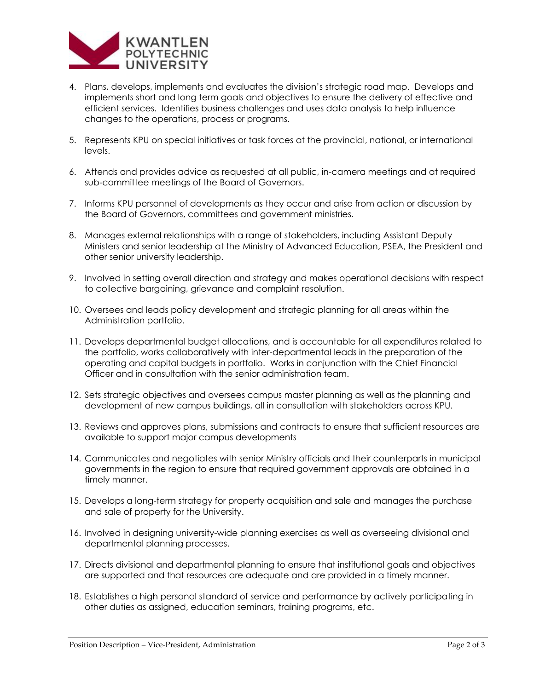

- 4. Plans, develops, implements and evaluates the division's strategic road map. Develops and implements short and long term goals and objectives to ensure the delivery of effective and efficient services. Identifies business challenges and uses data analysis to help influence changes to the operations, process or programs.
- 5. Represents KPU on special initiatives or task forces at the provincial, national, or international levels.
- 6. Attends and provides advice as requested at all public, in-camera meetings and at required sub-committee meetings of the Board of Governors.
- 7. Informs KPU personnel of developments as they occur and arise from action or discussion by the Board of Governors, committees and government ministries.
- 8. Manages external relationships with a range of stakeholders, including Assistant Deputy Ministers and senior leadership at the Ministry of Advanced Education, PSEA, the President and other senior university leadership.
- 9. Involved in setting overall direction and strategy and makes operational decisions with respect to collective bargaining, grievance and complaint resolution.
- 10. Oversees and leads policy development and strategic planning for all areas within the Administration portfolio.
- 11. Develops departmental budget allocations, and is accountable for all expenditures related to the portfolio, works collaboratively with inter-departmental leads in the preparation of the operating and capital budgets in portfolio. Works in conjunction with the Chief Financial Officer and in consultation with the senior administration team.
- 12. Sets strategic objectives and oversees campus master planning as well as the planning and development of new campus buildings, all in consultation with stakeholders across KPU.
- 13. Reviews and approves plans, submissions and contracts to ensure that sufficient resources are available to support major campus developments
- 14. Communicates and negotiates with senior Ministry officials and their counterparts in municipal governments in the region to ensure that required government approvals are obtained in a timely manner.
- 15. Develops a long-term strategy for property acquisition and sale and manages the purchase and sale of property for the University.
- 16. Involved in designing university-wide planning exercises as well as overseeing divisional and departmental planning processes.
- 17. Directs divisional and departmental planning to ensure that institutional goals and objectives are supported and that resources are adequate and are provided in a timely manner.
- 18. Establishes a high personal standard of service and performance by actively participating in other duties as assigned, education seminars, training programs, etc.